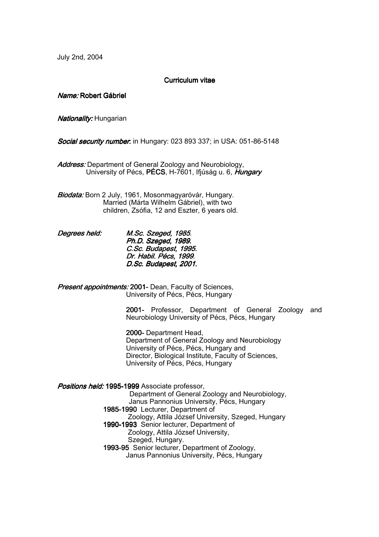July 2nd, 2004

## Curriculum vitae

Name: Robert Gábriel

Nationality: Hungarian

**Social security number:** in Hungary: 023 893 337; in USA: 051-86-5148

Address: Department of General Zoology and Neurobiology, University of Pécs, PÉCS, H-7601, Ifiúság u. 6, Hungary

Biodata: Born 2 July, 1961, Mosonmagyaróvár, Hungary. Married (Márta Wilhelm Gábriel), with two children, Zsófia, 12 and Eszter, 6 years old.

Degrees held: M.Sc. Szeged, 1985. Ph.D. Szeged, 1989. C.Sc. Budapest, 1995. Dr. Habil. Pécs, 1999. D.Sc. Budapest, 2001.

Present appointments: 2001- Dean, Faculty of Sciences, University of Pécs, Pécs, Hungary

> 2001- Professor, Department of General Zoology and Neurobiology University of Pécs, Pécs, Hungary

2000- Department Head, Department of General Zoology and Neurobiology University of Pécs, Pécs, Hungary and Director, Biological Institute, Faculty of Sciences, University of Pécs, Pécs, Hungary

Positions held: 1995-1999 Associate professor, Department of General Zoology and Neurobiology, Janus Pannonius University, Pécs, Hungary 1985-1990 Lecturer, Department of Zoology, Attila József University, Szeged, Hungary 1990-1993 Senior lecturer, Department of Zoology, Attila József University, Szeged, Hungary. 1993-95 Senior lecturer, Department of Zoology, Janus Pannonius University, Pécs, Hungary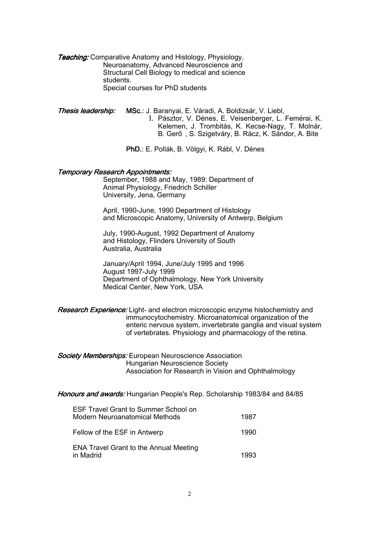**Teaching:** Comparative Anatomy and Histology, Physiology, Neuroanatomy, Advanced Neuroscience and Structural Cell Biology to medical and science students. Special courses for PhD students

Thesis leadership: MSc.: J. Baranyai, E. Váradi, A. Boldizsár, V. Liebl, I. Pásztor, V. Dénes, E. Veisenberger, L. Femérai, K. Kelemen, J. Trombitás, K. Kecse-Nagy, T. Molnár, B. Gerő , S. Szigetváry, B. Rácz, K. Sándor, A. Bite

PhD.: E. Pollák, B. Völgyi, K. Rábl, V. Dénes

### **Temporary Research Appointments:**

 September, 1988 and May, 1989: Department of Animal Physiology, Friedrich Schiller University, Jena, Germany

 April, 1990-June, 1990 Department of Histology and Microscopic Anatomy, University of Antwerp, Belgium

 July, 1990-August, 1992 Department of Anatomy and Histology, Flinders University of South Australia, Australia

 January/April 1994, June/July 1995 and 1996 August 1997-July 1999 Department of Ophthalmology, New York University Medical Center, New York, USA

Research Experience: Light- and electron microscopic enzyme histochemistry and immunocytochemistry. Microanatomical organization of the enteric nervous system, invertebrate ganglia and visual system of vertebrates. Physiology and pharmacology of the retina.

**Society Memberships:** European Neuroscience Association Hungarian Neuroscience Society Association for Research in Vision and Ophthalmology

Honours and awards: Hungarian People's Rep. Scholarship 1983/84 and 84/85

| <b>ESF Travel Grant to Summer School on</b><br>Modern Neuroanatomical Methods | 1987 |
|-------------------------------------------------------------------------------|------|
| Fellow of the ESF in Antwerp                                                  | 1990 |
| <b>ENA Travel Grant to the Annual Meeting</b><br>in Madrid                    | 1993 |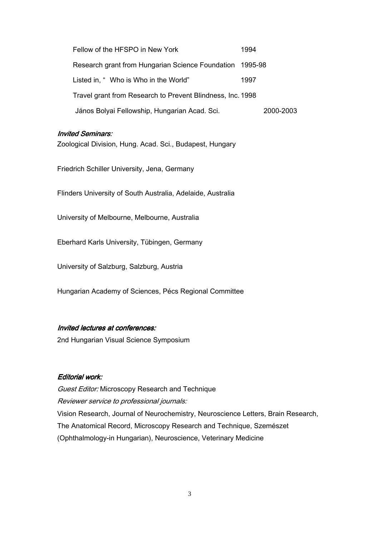| Fellow of the HFSPO in New York                            | 1994      |
|------------------------------------------------------------|-----------|
| Research grant from Hungarian Science Foundation 1995-98   |           |
| Listed in, " Who is Who in the World"                      | 1997      |
| Travel grant from Research to Prevent Blindness, Inc. 1998 |           |
| János Bolyai Fellowship, Hungarian Acad. Sci.              | 2000-2003 |

# **Invited Seminars:**

Zoological Division, Hung. Acad. Sci., Budapest, Hungary

Friedrich Schiller University, Jena, Germany

Flinders University of South Australia, Adelaide, Australia

University of Melbourne, Melbourne, Australia

Eberhard Karls University, Tübingen, Germany

University of Salzburg, Salzburg, Austria

Hungarian Academy of Sciences, Pécs Regional Committee

# Invited lectures at conferences:

2nd Hungarian Visual Science Symposium

# Editorial work:

**Guest Editor: Microscopy Research and Technique** Reviewer service to professional journals: Vision Research, Journal of Neurochemistry, Neuroscience Letters, Brain Research, The Anatomical Record, Microscopy Research and Technique, Szemészet (Ophthalmology-in Hungarian), Neuroscience, Veterinary Medicine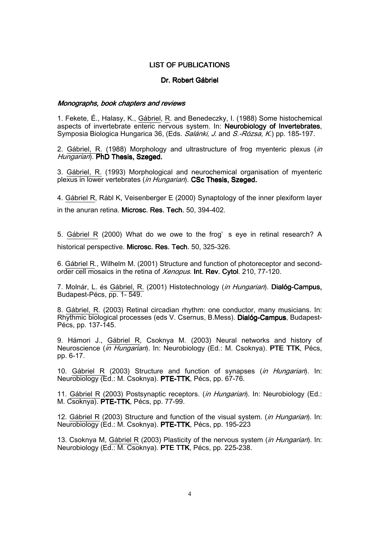## LIST OF PUBLICATIONS

## Dr. Robert Gábriel

### Monographs, book chapters and reviews

1. Fekete, É., Halasy, K., Gábriel, R. and Benedeczky, I. (1988) Some histochemical aspects of invertebrate enteric nervous system. In: Neurobiology of Invertebrates, Symposia Biologica Hungarica 36, (Eds. Salánki, J. and S.-Rózsa, K.) pp. 185-197.

2. Gábriel, R. (1988) Morphology and ultrastructure of frog myenteric plexus (in Hungarian). PhD Thesis, Szeged.

3. Gábriel, R. (1993) Morphological and neurochemical organisation of myenteric plexus in lower vertebrates (in Hungarian). CSc Thesis, Szeged.

4. Gábriel R, Rábl K, Veisenberger E (2000) Synaptology of the inner plexiform layer in the anuran retina. Microsc. Res. Tech. 50, 394-402.

5. Gábriel R (2000) What do we owe to the frog' s eye in retinal research? A historical perspective. Microsc. Res. Tech. 50, 325-326.

6. Gábriel R., Wilhelm M. (2001) Structure and function of photoreceptor and secondorder cell mosaics in the retina of Xenopus. Int. Rev. Cytol. 210, 77-120.

7. Molnár, L. és Gábriel, R. (2001) Histotechnology (in Hungarian). Dialóg-Campus, Budapest-Pécs, pp. 1- 549.

8. Gábriel, R. (2003) Retinal circadian rhythm: one conductor, many musicians. In: Rhythmic biological processes (eds V. Csernus, B.Mess). Dialóg-Campus, Budapest-Pécs, pp. 137-145.

9. Hámori J., Gábriel R, Csoknya M. (2003) Neural networks and history of Neuroscience (in Hungarian). In: Neurobiology (Ed.: M. Csoknya). PTE TTK, Pécs, pp. 6-17.

10. Gábriel R (2003) Structure and function of synapses (in Hungarian). In: Neurobiology (Ed.: M. Csoknya). PTE-TTK, Pécs, pp. 67-76.

11. Gábriel R (2003) Postsynaptic receptors. (in Hungarian). In: Neurobiology (Ed.: M. Csoknya). PTE-TTK, Pécs, pp. 77-99.

12. Gábriel R (2003) Structure and function of the visual system. *(in Hungarian*). In: Neurobiology (Ed.: M. Csoknya). PTE-TTK, Pécs, pp. 195-223

13. Csoknya M, Gábriel R (2003) Plasticity of the nervous system (*in Hungarian*). In: Neurobiology (Ed.: M. Csoknya). PTE TTK, Pécs, pp. 225-238.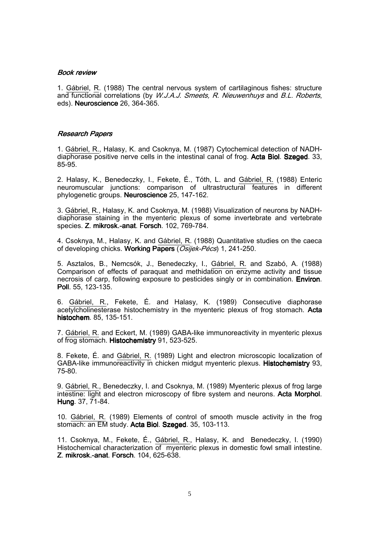### Book review

1. Gábriel, R. (1988) The central nervous system of cartilaginous fishes: structure and functional correlations (by *W.J.A.J. Smeets, R. Nieuwenhuys* and *B.L. Roberts*, eds). Neuroscience 26, 364-365.

#### **Research Papers**

1. Gábriel, R., Halasy, K. and Csoknya, M. (1987) Cytochemical detection of NADHdiaphorase positive nerve cells in the intestinal canal of frog. Acta Biol. Szeged. 33, 85-95.

2. Halasy, K., Benedeczky, I., Fekete, É., Tóth, L. and Gábriel, R. (1988) Enteric neuromuscular junctions: comparison of ultrastructural features in different phylogenetic groups. Neuroscience 25, 147-162.

3. Gábriel, R., Halasy, K. and Csoknya, M. (1988) Visualization of neurons by NADHdiaphorase staining in the myenteric plexus of some invertebrate and vertebrate species. Z. mikrosk.-anat. Forsch. 102, 769-784.

4. Csoknya, M., Halasy, K. and Gábriel, R. (1988) Quantitative studies on the caeca of developing chicks. Working Papers (Osijek-Pécs) 1, 241-250.

5. Asztalos, B., Nemcsók, J., Benedeczky, I., Gábriel, R. and Szabó, A. (1988) Comparison of effects of paraquat and methidation on enzyme activity and tissue necrosis of carp, following exposure to pesticides singly or in combination. Environ. Poll. 55, 123-135.

6. Gábriel, R., Fekete, É. and Halasy, K. (1989) Consecutive diaphorase acetylcholinesterase histochemistry in the myenteric plexus of frog stomach. Acta histochem. 85, 135-151.

7. Gábriel, R. and Eckert, M. (1989) GABA-like immunoreactivity in myenteric plexus of frog stomach. Histochemistry 91, 523-525.

8. Fekete, É. and Gábriel, R. (1989) Light and electron microscopic localization of GABA-like immunoreactivity in chicken midgut myenteric plexus. Histochemistry 93, 75-80.

9. Gábriel, R., Benedeczky, I. and Csoknya, M. (1989) Myenteric plexus of frog large intestine: light and electron microscopy of fibre system and neurons. Acta Morphol. Hung. 37, 71-84.

10. Gábriel, R. (1989) Elements of control of smooth muscle activity in the frog stomach: an EM study. Acta Biol. Szeged. 35, 103-113.

11. Csoknya, M., Fekete, É., Gábriel, R., Halasy, K. and Benedeczky, I. (1990) Histochemical characterization of myenteric plexus in domestic fowl small intestine. Z. mikrosk.-anat. Forsch. 104, 625-638.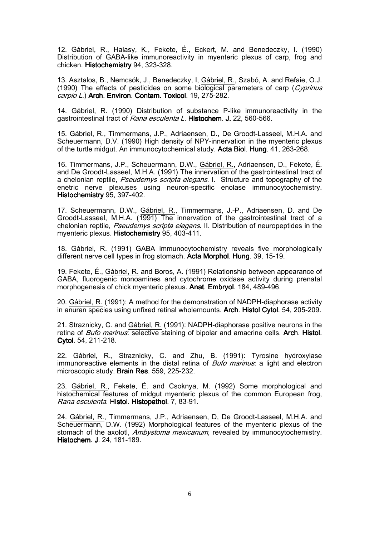12. Gábriel, R., Halasy, K., Fekete, É., Eckert, M. and Benedeczky, I. (1990) Distribution of GABA-like immunoreactivity in myenteric plexus of carp, frog and chicken. Histochemistry 94, 323-328.

13. Asztalos, B., Nemcsók, J., Benedeczky, I, Gábriel, R., Szabó, A. and Refaie, O.J. (1990) The effects of pesticides on some biological parameters of carp (Cyprinus carpio L.) Arch. Environ. Contam. Toxicol. 19, 275-282.

14. Gábriel, R. (1990) Distribution of substance P-like immunoreactivity in the gastrointestinal tract of Rana esculenta L. Histochem. J. 22, 560-566.

15. Gábriel, R., Timmermans, J.P., Adriaensen, D., De Groodt-Lasseel, M.H.A. and Scheuermann, D.V. (1990) High density of NPY-innervation in the myenteric plexus of the turtle midgut. An immunocytochemical study. Acta Biol. Hung. 41, 263-268.

16. Timmermans, J.P., Scheuermann, D.W., Gábriel, R., Adriaensen, D., Fekete, É. and De Groodt-Lasseel, M.H.A. (1991) The innervation of the gastrointestinal tract of a chelonian reptile, Pseudemys scripta elegans. I. Structure and topography of the enetric nerve plexuses using neuron-specific enolase immunocytochemistry. Histochemistry 95, 397-402.

17. Scheuermann, D.W., Gábriel, R., Timmermans, J.-P., Adriaensen, D. and De Groodt-Lasseel, M.H.A. (1991) The innervation of the gastrointestinal tract of a chelonian reptile, *Pseudemys scripta elegans*. II. Distribution of neuropeptides in the myenteric plexus. Histochemistry 95, 403-411.

18. Gábriel, R. (1991) GABA immunocytochemistry reveals five morphologically different nerve cell types in frog stomach. Acta Morphol. Hung. 39, 15-19.

19. Fekete, É., Gábriel, R. and Boros, A. (1991) Relationship between appearance of GABA, fluorogenic monoamines and cytochrome oxidase activity during prenatal morphogenesis of chick myenteric plexus. Anat. Embryol. 184, 489-496.

20. Gábriel, R. (1991): A method for the demonstration of NADPH-diaphorase activity in anuran species using unfixed retinal wholemounts. Arch. Histol Cytol. 54, 205-209.

21. Straznicky, C. and Gábriel, R. (1991): NADPH-diaphorase positive neurons in the retina of *Bufo marinus*: selective staining of bipolar and amacrine cells. **Arch. Histol.** Cytol. 54, 211-218.

22. Gábriel, R., Straznicky, C. and Zhu, B. (1991): Tyrosine hydroxylase immunoreactive elements in the distal retina of *Bufo marinus*: a light and electron microscopic study. Brain Res. 559, 225-232.

23. Gábriel, R., Fekete, É. and Csoknya, M. (1992) Some morphological and histochemical features of midgut myenteric plexus of the common European frog, Rana esculenta. Histol. Histopathol. 7, 83-91.

24. Gábriel, R., Timmermans, J.P., Adriaensen, D, De Groodt-Lasseel, M.H.A. and Scheuermann, D.W. (1992) Morphological features of the myenteric plexus of the stomach of the axolotl, *Ambystoma mexicanum*, revealed by immunocytochemistry. Histochem. J. 24, 181-189.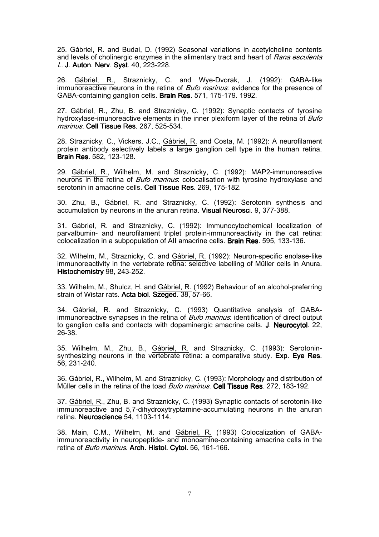25. Gábriel, R. and Budai, D. (1992) Seasonal variations in acetylcholine contents and levels of cholinergic enzymes in the alimentary tract and heart of Rana esculenta L. J. Auton. Nerv. Syst. 40, 223-228.

26. Gábriel, R., Straznicky, C. and Wye-Dvorak, J. (1992): GABA-like immunoreactive neurons in the retina of *Bufo marinus*: evidence for the presence of GABA-containing ganglion cells. Brain Res. 571, 175-179. 1992.

27. Gábriel, R., Zhu, B. and Straznicky, C. (1992): Synaptic contacts of tyrosine hydroxylase-imunoreactive elements in the inner plexiform layer of the retina of *Bufo* marinus. Cell Tissue Res. 267, 525-534.

28. Straznicky, C., Vickers, J.C., Gábriel, R. and Costa, M. (1992): A neurofilament protein antibody selectively labels a large ganglion cell type in the human retina. Brain Res. 582, 123-128.

29. Gábriel, R., Wilhelm, M. and Straznicky, C. (1992): MAP2-immunoreactive neurons in the retina of *Bufo marinus*: colocalisation with tyrosine hydroxylase and serotonin in amacrine cells. Cell Tissue Res. 269, 175-182.

30. Zhu, B., Gábriel, R. and Straznicky, C. (1992): Serotonin synthesis and accumulation by neurons in the anuran retina. Visual Neurosci. 9, 377-388.

31. Gábriel, R. and Straznicky, C. (1992): Immunocytochemical localization of parvalbumin- and neurofilament triplet protein-immunoreactivity in the cat retina: colocalization in a subpopulation of AII amacrine cells. Brain Res. 595, 133-136.

32. Wilhelm, M., Straznicky, C. and Gábriel, R. (1992): Neuron-specific enolase-like immunoreactivity in the vertebrate retina: selective labelling of Müller cells in Anura. Histochemistry 98, 243-252.

33. Wilhelm, M., Shulcz, H. and Gábriel, R. (1992) Behaviour of an alcohol-preferring strain of Wistar rats. Acta biol. Szeged. 38, 57-66.

34. Gábriel, R. and Straznicky, C. (1993) Quantitative analysis of GABAimmunoreactive synapses in the retina of *Bufo marinus*: identification of direct output to ganglion cells and contacts with dopaminergic amacrine cells. **J. Neurocytol.** 22, 26-38.

35. Wilhelm, M., Zhu, B., Gábriel, R. and Straznicky, C. (1993): Serotoninsynthesizing neurons in the vertebrate retina: a comparative study. Exp. Eve Res. 56, 231-240.

36. Gábriel, R., Wilhelm, M. and Straznicky, C. (1993): Morphology and distribution of Müller cells in the retina of the toad *Bufo marinus*. Cell Tissue Res. 272, 183-192.

37. Gábriel, R., Zhu, B. and Straznicky, C. (1993) Synaptic contacts of serotonin-like immunoreactive and 5,7-dihydroxytryptamine-accumulating neurons in the anuran retina. Neuroscience 54, 1103-1114.

38. Main, C.M., Wilhelm, M. and Gábriel, R. (1993) Colocalization of GABAimmunoreactivity in neuropeptide- and monoamine-containing amacrine cells in the retina of Bufo marinus. Arch. Histol. Cytol. 56, 161-166.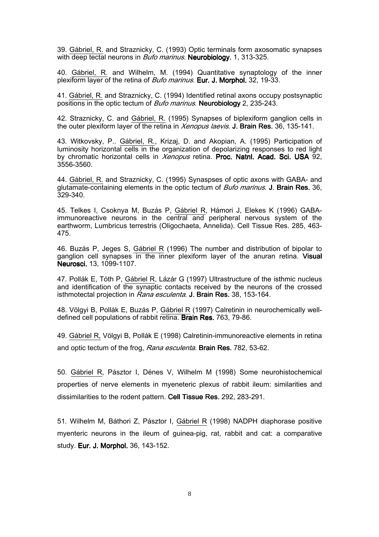39. Gábriel, R. and Straznicky, C. (1993) Optic terminals form axosomatic synapses with deep tectal neurons in *Bufo marinus*. Neurobiology, 1, 313-325.

40. Gábriel, R. and Wilhelm, M. (1994) Quantitative synaptology of the inner plexiform layer of the retina of *Bufo marinus*. Eur. J. Morphol. 32, 19-33.

41. Gábriel, R. and Straznicky, C. (1994) Identified retinal axons occupy postsynaptic positions in the optic tectum of *Bufo marinus*. Neurobiology 2, 235-243.

42. Straznicky, C. and Gábriel, R. (1995) Synapses of biplexiform ganglion cells in the outer plexiform layer of the retina in Xenopus laevis. J. Brain Res. 36, 135-141.

43. Witkovsky, P.. Gábriel, R., Krizaj, D. and Akopian, A. (1995) Participation of luminosity horizontal cells in the organization of depolarizing responses to red light by chromatic horizontal cells in Xenopus retina. Proc. Natnl. Acad. Sci. USA 92, 3556-3560.

44. Gábriel, R. and Straznicky, C. (1995) Synaspses of optic axons with GABA- and glutamate-containing elements in the optic tectum of *Bufo marinus*. **J. Brain Res.** 36, 329-340.

45. Telkes I, Csoknya M, Buzás P, Gábriel R, Hámori J, Elekes K (1996) GABAimmunoreactive neurons in the central and peripheral nervous system of the earthworm, Lumbricus terrestris (Oligochaeta, Annelida). Cell Tissue Res. 285, 463- 475.

46. Buzás P, Jeges S, Gábriel R (1996) The number and distribution of bipolar to ganglion cell synapses in the inner plexiform layer of the anuran retina. Visual Neurosci. 13, 1099-1107.

47. Pollák E, Tóth P, Gábriel R, Lázár G (1997) Ultrastructure of the isthmic nucleus and identification of the synaptic contacts received by the neurons of the crossed isthmotectal projection in Rana esculenta. J. Brain Res. 38, 153-164.

48. Völgyi B, Pollák E, Buzás P, Gábriel R (1997) Calretinin in neurochemically welldefined cell populations of rabbit retina. Brain Res. 763, 79-86.

49. Gábriel R, Völgyi B, Pollák E (1998) Calretinin-immunoreactive elements in retina and optic tectum of the frog, Rana esculenta. Brain Res. 782, 53-62.

50. Gábriel R, Pásztor I, Dénes V, Wilhelm M (1998) Some neurohistochemical properties of nerve elements in myeneteric plexus of rabbit ileum: similarities and dissimilarities to the rodent pattern. Cell Tissue Res. 292, 283-291.

51. Wilhelm M, Báthori Z, Pásztor I, Gábriel R (1998) NADPH diaphorase positive myenteric neurons in the ileum of guinea-pig, rat, rabbit and cat: a comparative study. Eur. J. Morphol. 36, 143-152.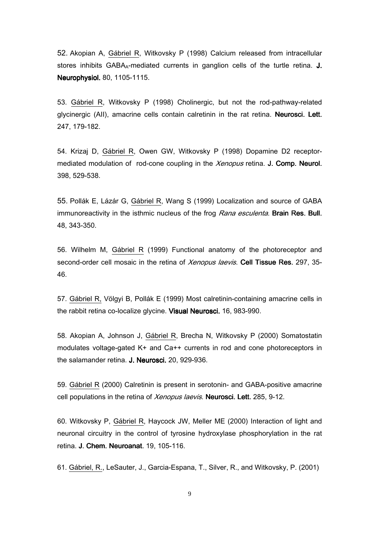52. Akopian A, Gábriel R, Witkovsky P (1998) Calcium released from intracellular stores inhibits  $GABA_A$ -mediated currents in ganglion cells of the turtle retina.  $J$ . Neurophysiol. 80, 1105-1115.

53. Gábriel R, Witkovsky P (1998) Cholinergic, but not the rod-pathway-related glycinergic (AII), amacrine cells contain calretinin in the rat retina. Neurosci. Lett. 247, 179-182.

54. Krizaj D, Gábriel R, Owen GW, Witkovsky P (1998) Dopamine D2 receptormediated modulation of rod-cone coupling in the Xenopus retina. J. Comp. Neurol. 398, 529-538.

55. Pollák E, Lázár G, Gábriel R, Wang S (1999) Localization and source of GABA immunoreactivity in the isthmic nucleus of the frog Rana esculenta. Brain Res. Bull. 48, 343-350.

56. Wilhelm M, Gábriel R (1999) Functional anatomy of the photoreceptor and second-order cell mosaic in the retina of Xenopus laevis. Cell Tissue Res. 297, 35-46.

57. Gábriel R, Völgyi B, Pollák E (1999) Most calretinin-containing amacrine cells in the rabbit retina co-localize glycine. Visual Neurosci. 16, 983-990.

58. Akopian A, Johnson J, Gábriel R, Brecha N, Witkovsky P (2000) Somatostatin modulates voltage-gated K+ and Ca++ currents in rod and cone photoreceptors in the salamander retina. J. Neurosci. 20, 929-936.

59. Gábriel R (2000) Calretinin is present in serotonin- and GABA-positive amacrine cell populations in the retina of *Xenopus laevis*. **Neurosci. Lett.** 285, 9-12.

60. Witkovsky P, Gábriel R, Haycock JW, Meller ME (2000) Interaction of light and neuronal circuitry in the control of tyrosine hydroxylase phosphorylation in the rat retina. J. Chem. Neuroanat. 19, 105-116.

61. Gábriel, R., LeSauter, J., Garcia-Espana, T., Silver, R., and Witkovsky, P. (2001)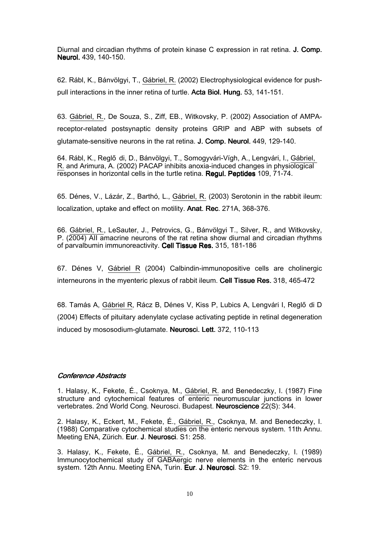Diurnal and circadian rhythms of protein kinase C expression in rat retina. J. Comp. Neurol. 439, 140-150.

62. Rábl, K., Bánvölgyi, T., Gábriel, R. (2002) Electrophysiological evidence for pushpull interactions in the inner retina of turtle. Acta Biol. Hung. 53, 141-151.

63. Gábriel, R., De Souza, S., Ziff, EB., Witkovsky, P. (2002) Association of AMPAreceptor-related postsynaptic density proteins GRIP and ABP with subsets of glutamate-sensitive neurons in the rat retina. **J. Comp. Neurol.** 449, 129-140.

64. Rábl, K., Reglő di, D., Bánvölgyi, T., Somogyvári-Vígh, A., Lengvári, I., Gábriel, R. and Arimura, A. (2002) PACAP inhibits anoxia-induced changes in physiological responses in horizontal cells in the turtle retina. Regul. Peptides 109, 71-74.

65. Dénes, V., Lázár, Z., Barthó, L., Gábriel, R. (2003) Serotonin in the rabbit ileum: localization, uptake and effect on motility. Anat. Rec. 271A, 368-376.

66. Gábriel, R., LeSauter, J., Petrovics, G., Bánvölgyi T., Silver, R., and Witkovsky, P. (2004) AII amacrine neurons of the rat retina show diurnal and circadian rhythms of parvalbumin immunoreactivity. Cell Tissue Res. 315, 181-186

67. Dénes V, Gábriel R (2004) Calbindin-immunopositive cells are cholinergic interneurons in the myenteric plexus of rabbit ileum. Cell Tissue Res. 318, 465-472

68. Tamás A, Gábriel R, Rácz B, Dénes V, Kiss P, Lubics A, Lengvári I, Reglő di D (2004) Effects of pituitary adenylate cyclase activating peptide in retinal degeneration induced by mososodium-glutamate. Neurosci. Lett. 372, 110-113

## **Conference Abstracts**

1. Halasy, K., Fekete, É., Csoknya, M., Gábriel, R. and Benedeczky, I. (1987) Fine structure and cytochemical features of enteric neuromuscular junctions in lower vertebrates. 2nd World Cong. Neurosci. Budapest. Neuroscience 22(S): 344.

2. Halasy, K., Eckert, M., Fekete, É., Gábriel, R., Csoknya, M. and Benedeczky, I. (1988) Comparative cytochemical studies on the enteric nervous system. 11th Annu. Meeting ENA, Zürich. Eur. J. Neurosci. S1: 258.

3. Halasy, K., Fekete, É., Gábriel, R., Csoknya, M. and Benedeczky, I. (1989) Immunocytochemical study of GABAergic nerve elements in the enteric nervous system. 12th Annu. Meeting ENA, Turin. Eur. J. Neurosci. S2: 19.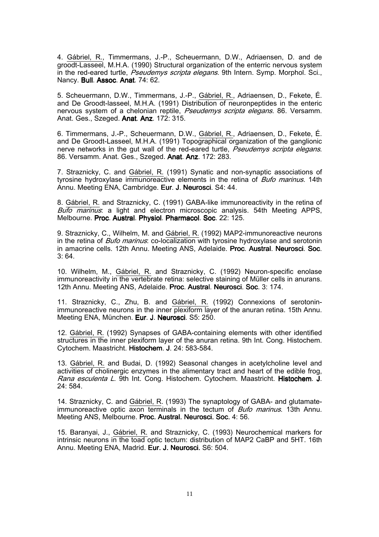4. Gábriel, R., Timmermans, J.-P., Scheuermann, D.W., Adriaensen, D. and de groodt-Lasseel, M.H.A. (1990) Structural organization of the enterric nervous system in the red-eared turtle, Pseudemys scripta elegans. 9th Intern. Symp. Morphol. Sci., Nancy. Bull. Assoc. Anat. 74: 62.

5. Scheuermann, D.W., Timmermans, J.-P., Gábriel, R., Adriaensen, D., Fekete, É. and De Groodt-lasseel, M.H.A. (1991) Distribution of neuronpeptides in the enteric nervous system of a chelonian reptile, Pseudemys scripta elegans. 86. Versamm. Anat. Ges., Szeged. Anat. Anz. 172: 315.

6. Timmermans, J.-P., Scheuermann, D.W., Gábriel, R., Adriaensen, D., Fekete, É. and De Groodt-Lasseel, M.H.A. (1991) Topographical organization of the ganglionic nerve networks in the gut wall of the red-eared turtle, *Pseudemys scripta elegans*. 86. Versamm. Anat. Ges., Szeged. Anat. Anz. 172: 283.

7. Straznicky, C. and Gábriel, R. (1991) Synatic and non-synaptic associations of tyrosine hydroxylase immunoreactive elements in the retina of *Bufo marinus*. 14th Annu. Meeting ENA, Cambridge. Eur. J. Neurosci. S4: 44.

8. Gábriel, R. and Straznicky, C. (1991) GABA-like immunoreactivity in the retina of Bufo marinus: a light and electron microscopic analysis. 54th Meeting APPS, Melbourne. Proc. Austral. Physiol. Pharmacol. Soc. 22: 125.

9. Straznicky, C., Wilhelm, M. and Gábriel, R. (1992) MAP2-immunoreactive neurons in the retina of *Bufo marinus*: co-localization with tyrosine hydroxylase and serotonin in amacrine cells. 12th Annu. Meeting ANS, Adelaide. Proc. Austral. Neurosci. Soc.  $3.64$ 

10. Wilhelm, M., Gábriel, R. and Straznicky, C. (1992) Neuron-specific enolase immunoreactivity in the vertebrate retina: selective staining of Müller cells in anurans. 12th Annu. Meeting ANS, Adelaide. Proc. Austral. Neurosci. Soc. 3: 174.

11. Straznicky, C., Zhu, B. and Gábriel, R. (1992) Connexions of serotoninimmunoreactive neurons in the inner plexiform layer of the anuran retina. 15th Annu. Meeting ENA, München. Eur. J. Neurosci. S5: 250.

12. Gábriel, R. (1992) Synapses of GABA-containing elements with other identified structures in the inner plexiform layer of the anuran retina. 9th Int. Cong. Histochem. Cytochem. Maastricht. Histochem. J. 24: 583-584.

13. Gábriel, R. and Budai, D. (1992) Seasonal changes in acetylcholine level and activities of cholinergic enzymes in the alimentary tract and heart of the edible frog, Rana esculenta L. 9th Int. Cong. Histochem. Cytochem. Maastricht. Histochem. J. 24: 584.

14. Straznicky, C. and Gábriel, R. (1993) The synaptology of GABA- and glutamateimmunoreactive optic axon terminals in the tectum of *Bufo marinus*. 13th Annu. Meeting ANS, Melbourne. Proc. Austral. Neurosci. Soc. 4: 56.

15. Baranyai, J., Gábriel, R. and Straznicky, C. (1993) Neurochemical markers for intrinsic neurons in the toad optic tectum: distribution of MAP2 CaBP and 5HT. 16th Annu. Meeting ENA, Madrid. Eur. J. Neurosci. S6: 504.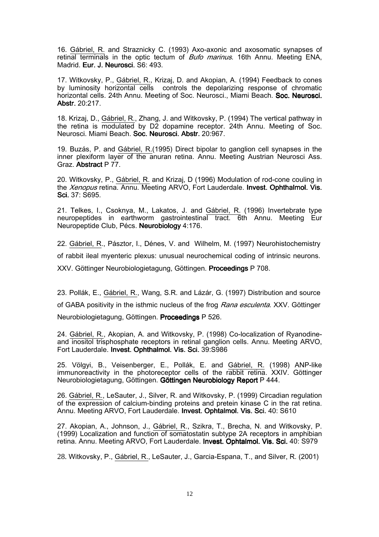16. Gábriel, R. and Straznicky C. (1993) Axo-axonic and axosomatic synapses of retinal terminals in the optic tectum of *Bufo marinus*. 16th Annu. Meeting ENA, Madrid. Eur. J. Neurosci. S6: 493.

17. Witkovsky, P., Gábriel, R., Krizaj, D. and Akopian, A. (1994) Feedback to cones by luminosity horizontal cells controls the depolarizing response of chromatic horizontal cells. 24th Annu. Meeting of Soc. Neurosci., Miami Beach. Soc. Neurosci. Abstr. 20:217.

18. Krizaj, D., Gábriel, R., Zhang, J. and Witkovsky, P. (1994) The vertical pathway in the retina is modulated by D2 dopamine receptor. 24th Annu. Meeting of Soc. Neurosci. Miami Beach. Soc. Neurosci. Abstr. 20:967.

19. Buzás, P. and Gábriel, R.(1995) Direct bipolar to ganglion cell synapses in the inner plexiform layer of the anuran retina. Annu. Meeting Austrian Neurosci Ass. Graz. Abstract P 77.

20. Witkovsky, P., Gábriel, R. and Krizaj, D (1996) Modulation of rod-cone couling in the *Xenopus* retina. Annu. Meeting ARVO, Fort Lauderdale. Invest. Ophthalmol. Vis. Sci. 37: S695.

21. Telkes, I., Csoknya, M., Lakatos, J. and Gábriel, R. (1996) Invertebrate type neuropeptides in earthworm gastrointestinal tract. 6th Annu. Meeting Eur Neuropeptide Club, Pécs. Neurobiology 4:176.

22. Gábriel, R., Pásztor, I., Dénes, V. and Wilhelm, M. (1997) Neurohistochemistry of rabbit ileal myenteric plexus: unusual neurochemical coding of intrinsic neurons. XXV. Göttinger Neurobiologietagung, Göttingen. Proceedings P 708.

23. Pollák, E., Gábriel, R., Wang, S.R. and Lázár, G. (1997) Distribution and source of GABA positivity in the isthmic nucleus of the frog Rana esculenta. XXV. Göttinger Neurobiologietagung, Göttingen. Proceedings P 526.

24. Gábriel, R., Akopian, A. and Witkovsky, P. (1998) Co-localization of Ryanodineand inositol trisphosphate receptors in retinal ganglion cells. Annu. Meeting ARVO, Fort Lauderdale. Invest. Ophthalmol. Vis. Sci. 39:S986

25. Völgyi, B., Veisenberger, E., Pollák, E. and Gábriel, R. (1998) ANP-like immunoreactivity in the photoreceptor cells of the rabbit retina. XXIV. Göttinger Neurobiologietagung, Göttingen. Göttingen Neurobiology Report P 444.

26. Gábriel, R., LeSauter, J., Silver, R. and Witkovsky, P. (1999) Circadian regulation of the expression of calcium-binding proteins and pretein kinase C in the rat retina. Annu. Meeting ARVO, Fort Lauderdale. Invest. Ophtalmol. Vis. Sci. 40: S610

27. Akopian, A., Johnson, J., Gábriel, R., Szikra, T., Brecha, N. and Witkovsky, P. (1999) Localization and function of somatostatin subtype 2A receptors in amphibian retina. Annu. Meeting ARVO, Fort Lauderdale. Invest. Ophtalmol. Vis. Sci. 40: S979

28. Witkovsky, P., Gábriel, R., LeSauter, J., Garcia-Espana, T., and Silver, R. (2001)